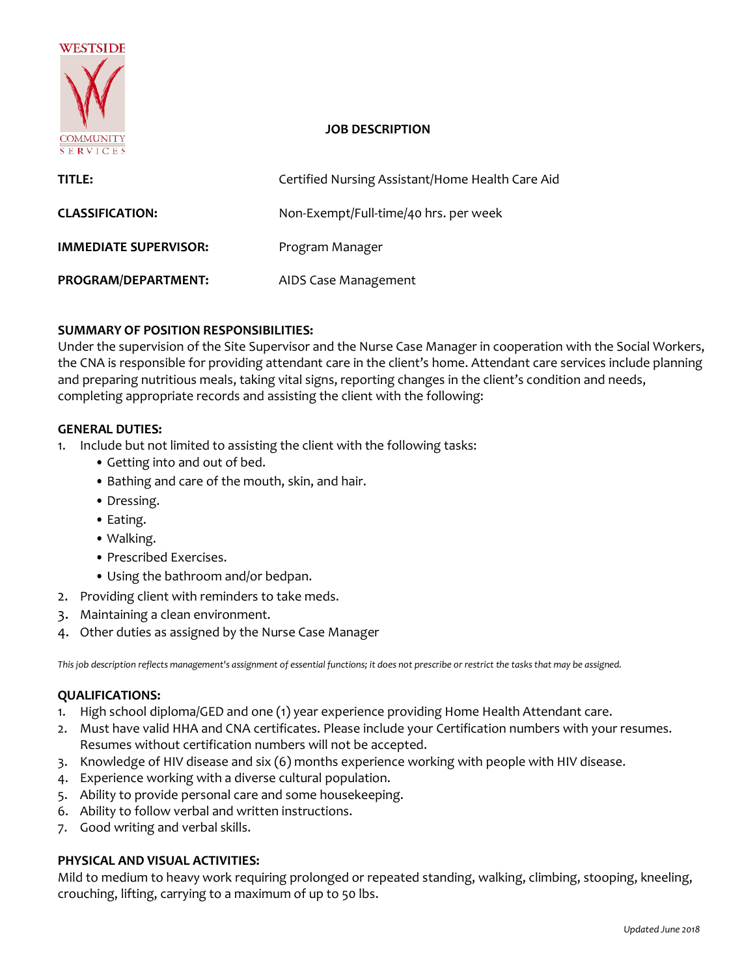

### **JOB DESCRIPTION**

| TITLE:                       | Certified Nursing Assistant/Home Health Care Aid |
|------------------------------|--------------------------------------------------|
| <b>CLASSIFICATION:</b>       | Non-Exempt/Full-time/40 hrs. per week            |
| <b>IMMEDIATE SUPERVISOR:</b> | Program Manager                                  |
| PROGRAM/DEPARTMENT:          | AIDS Case Management                             |

# **SUMMARY OF POSITION RESPONSIBILITIES:**

Under the supervision of the Site Supervisor and the Nurse Case Manager in cooperation with the Social Workers, the CNA is responsible for providing attendant care in the client's home. Attendant care services include planning and preparing nutritious meals, taking vital signs, reporting changes in the client's condition and needs, completing appropriate records and assisting the client with the following:

#### **GENERAL DUTIES:**

1. Include but not limited to assisting the client with the following tasks:

- Getting into and out of bed.
- Bathing and care of the mouth, skin, and hair.
- Dressing.
- Eating.
- Walking.
- Prescribed Exercises.
- Using the bathroom and/or bedpan.
- 2. Providing client with reminders to take meds.
- 3. Maintaining a clean environment.
- 4. Other duties as assigned by the Nurse Case Manager

This job description reflects management's assignment of essential functions; it does not prescribe or restrict the tasks that may be assigned.

### **QUALIFICATIONS:**

- 1. High school diploma/GED and one (1) year experience providing Home Health Attendant care.
- 2. Must have valid HHA and CNA certificates. Please include your Certification numbers with your resumes. Resumes without certification numbers will not be accepted.
- 3. Knowledge of HIV disease and six (6) months experience working with people with HIV disease.
- 4. Experience working with a diverse cultural population.
- 5. Ability to provide personal care and some housekeeping.
- 6. Ability to follow verbal and written instructions.
- 7. Good writing and verbal skills.

# **PHYSICAL AND VISUAL ACTIVITIES:**

Mild to medium to heavy work requiring prolonged or repeated standing, walking, climbing, stooping, kneeling, crouching, lifting, carrying to a maximum of up to 50 lbs.